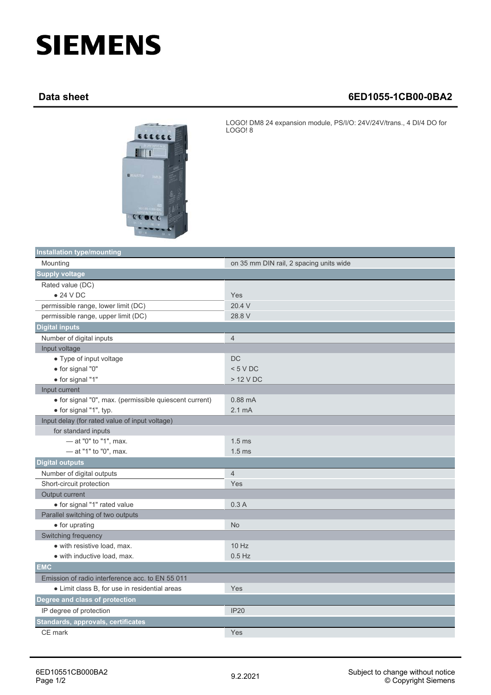## **SIEMENS**

## **Data sheet 6ED1055-1CB00-0BA2**



LOGO! DM8 24 expansion module, PS/I/O: 24V/24V/trans., 4 DI/4 DO for LOGO! 8

| <b>Installation type/mounting</b>                      |                                         |  |
|--------------------------------------------------------|-----------------------------------------|--|
| Mounting                                               | on 35 mm DIN rail, 2 spacing units wide |  |
| <b>Supply voltage</b>                                  |                                         |  |
| Rated value (DC)                                       |                                         |  |
| $\bullet$ 24 V DC                                      | Yes                                     |  |
| permissible range, lower limit (DC)                    | 20.4 V                                  |  |
| permissible range, upper limit (DC)                    | 28.8 V                                  |  |
| <b>Digital inputs</b>                                  |                                         |  |
| Number of digital inputs                               | $\overline{4}$                          |  |
| Input voltage                                          |                                         |  |
| • Type of input voltage                                | <b>DC</b>                               |  |
| • for signal "0"                                       | < 5 VDC                                 |  |
| · for signal "1"                                       | > 12 V DC                               |  |
| Input current                                          |                                         |  |
| · for signal "0", max. (permissible quiescent current) | $0.88 \text{ mA}$                       |  |
| · for signal "1", typ.                                 | 2.1 <sub>m</sub> A                      |  |
| Input delay (for rated value of input voltage)         |                                         |  |
| for standard inputs                                    |                                         |  |
| - at "0" to "1", max.                                  | 1.5 <sub>ms</sub>                       |  |
| - at "1" to "0", max.                                  | 1.5 <sub>ms</sub>                       |  |
| <b>Digital outputs</b>                                 |                                         |  |
| Number of digital outputs                              | $\overline{4}$                          |  |
| Short-circuit protection                               | Yes                                     |  |
| Output current                                         |                                         |  |
| · for signal "1" rated value                           | 0.3A                                    |  |
| Parallel switching of two outputs                      |                                         |  |
| • for uprating                                         | <b>No</b>                               |  |
| Switching frequency                                    |                                         |  |
| · with resistive load, max.                            | 10 Hz                                   |  |
| · with inductive load, max.                            | $0.5$ Hz                                |  |
| <b>EMC</b>                                             |                                         |  |
| Emission of radio interference acc. to EN 55 011       |                                         |  |
| • Limit class B, for use in residential areas          | Yes                                     |  |
| Degree and class of protection                         |                                         |  |
| IP degree of protection                                | <b>IP20</b>                             |  |
| Standards, approvals, certificates                     |                                         |  |
| CE mark                                                | Yes                                     |  |
|                                                        |                                         |  |